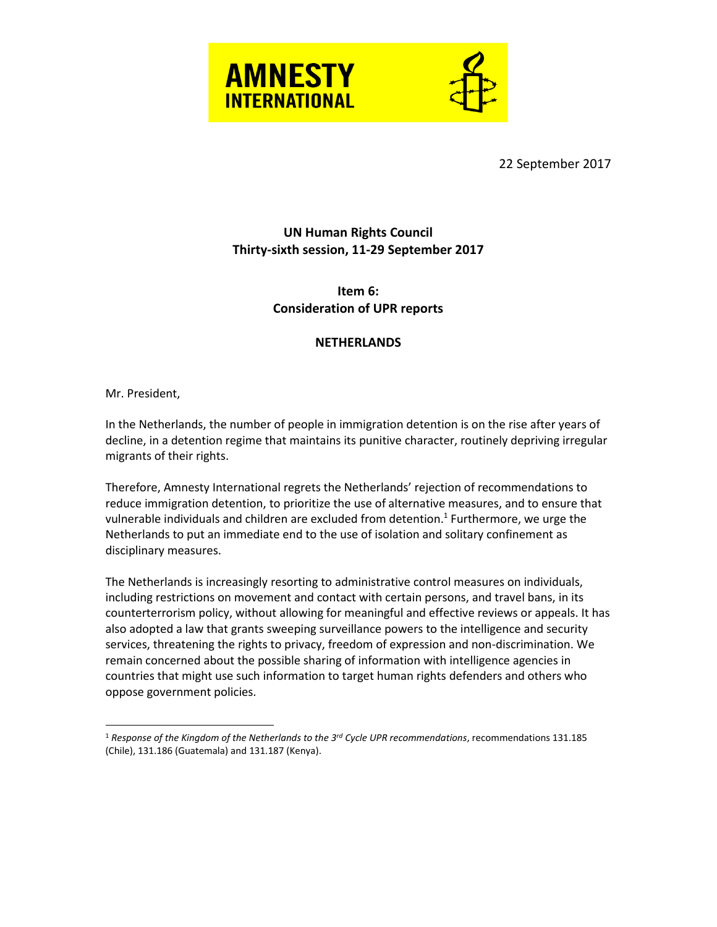



22 September 2017

## **UN Human Rights Council Thirty-sixth session, 11-29 September 2017**

## **Item 6: Consideration of UPR reports**

## **NETHERLANDS**

Mr. President,

 $\overline{a}$ 

In the Netherlands, the number of people in immigration detention is on the rise after years of decline, in a detention regime that maintains its punitive character, routinely depriving irregular migrants of their rights.

Therefore, Amnesty International regrets the Netherlands' rejection of recommendations to reduce immigration detention, to prioritize the use of alternative measures, and to ensure that vulnerable individuals and children are excluded from detention. 1 Furthermore, we urge the Netherlands to put an immediate end to the use of isolation and solitary confinement as disciplinary measures.

The Netherlands is increasingly resorting to administrative control measures on individuals, including restrictions on movement and contact with certain persons, and travel bans, in its counterterrorism policy, without allowing for meaningful and effective reviews or appeals. It has also adopted a law that grants sweeping surveillance powers to the intelligence and security services, threatening the rights to privacy, freedom of expression and non-discrimination. We remain concerned about the possible sharing of information with intelligence agencies in countries that might use such information to target human rights defenders and others who oppose government policies.

<sup>1</sup> *Response of the Kingdom of the Netherlands to the 3rd Cycle UPR recommendations*, recommendations 131.185 (Chile), 131.186 (Guatemala) and 131.187 (Kenya).